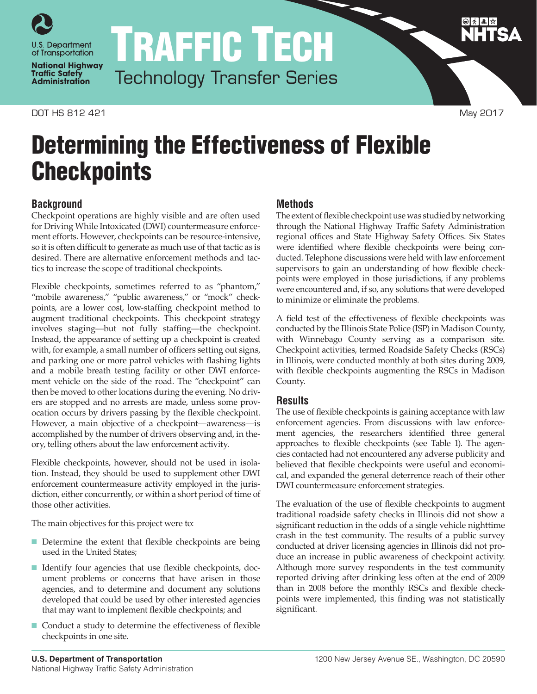

**National Highway Traffic Safety Administration** 

DOT HS 812 421 May 2017

TRAFFIC TECH Technology Transfer Series

# Determining the Effectiveness of Flexible **Checkpoints**

## **Background**

Checkpoint operations are highly visible and are often used for Driving While Intoxicated (DWI) countermeasure enforcement efforts. However, checkpoints can be resource-intensive, so it is often difficult to generate as much use of that tactic as is desired. There are alternative enforcement methods and tactics to increase the scope of traditional checkpoints.

Flexible checkpoints, sometimes referred to as "phantom," "mobile awareness," "public awareness," or "mock" checkpoints, are a lower cost, low-staffing checkpoint method to augment traditional checkpoints. This checkpoint strategy involves staging—but not fully staffing—the checkpoint. Instead, the appearance of setting up a checkpoint is created with, for example, a small number of officers setting out signs, and parking one or more patrol vehicles with flashing lights and a mobile breath testing facility or other DWI enforcement vehicle on the side of the road. The "checkpoint" can then be moved to other locations during the evening. No drivers are stopped and no arrests are made, unless some provocation occurs by drivers passing by the flexible checkpoint. However, a main objective of a checkpoint—awareness—is accomplished by the number of drivers observing and, in theory, telling others about the law enforcement activity.

Flexible checkpoints, however, should not be used in isolation. Instead, they should be used to supplement other DWI enforcement countermeasure activity employed in the jurisdiction, either concurrently, or within a short period of time of those other activities.

The main objectives for this project were to:

- Determine the extent that flexible checkpoints are being used in the United States;
- Identify four agencies that use flexible checkpoints, document problems or concerns that have arisen in those agencies, and to determine and document any solutions developed that could be used by other interested agencies that may want to implement flexible checkpoints; and
- Conduct a study to determine the effectiveness of flexible checkpoints in one site.

#### **Methods**

The extent of flexible checkpoint use was studied by networking through the National Highway Traffic Safety Administration regional offices and State Highway Safety Offices. Six States were identified where flexible checkpoints were being conducted. Telephone discussions were held with law enforcement supervisors to gain an understanding of how flexible checkpoints were employed in those jurisdictions, if any problems were encountered and, if so, any solutions that were developed to minimize or eliminate the problems.

A field test of the effectiveness of flexible checkpoints was conducted by the Illinois State Police (ISP) in Madison County, with Winnebago County serving as a comparison site. Checkpoint activities, termed Roadside Safety Checks (RSCs) in Illinois, were conducted monthly at both sites during 2009, with flexible checkpoints augmenting the RSCs in Madison County.

## **Results**

The use of flexible checkpoints is gaining acceptance with law enforcement agencies. From discussions with law enforcement agencies, the researchers identified three general approaches to flexible checkpoints (see Table 1). The agencies contacted had not encountered any adverse publicity and believed that flexible checkpoints were useful and economical, and expanded the general deterrence reach of their other DWI countermeasure enforcement strategies.

The evaluation of the use of flexible checkpoints to augment traditional roadside safety checks in Illinois did not show a significant reduction in the odds of a single vehicle nighttime crash in the test community. The results of a public survey conducted at driver licensing agencies in Illinois did not produce an increase in public awareness of checkpoint activity. Although more survey respondents in the test community reported driving after drinking less often at the end of 2009 than in 2008 before the monthly RSCs and flexible checkpoints were implemented, this finding was not statistically significant.